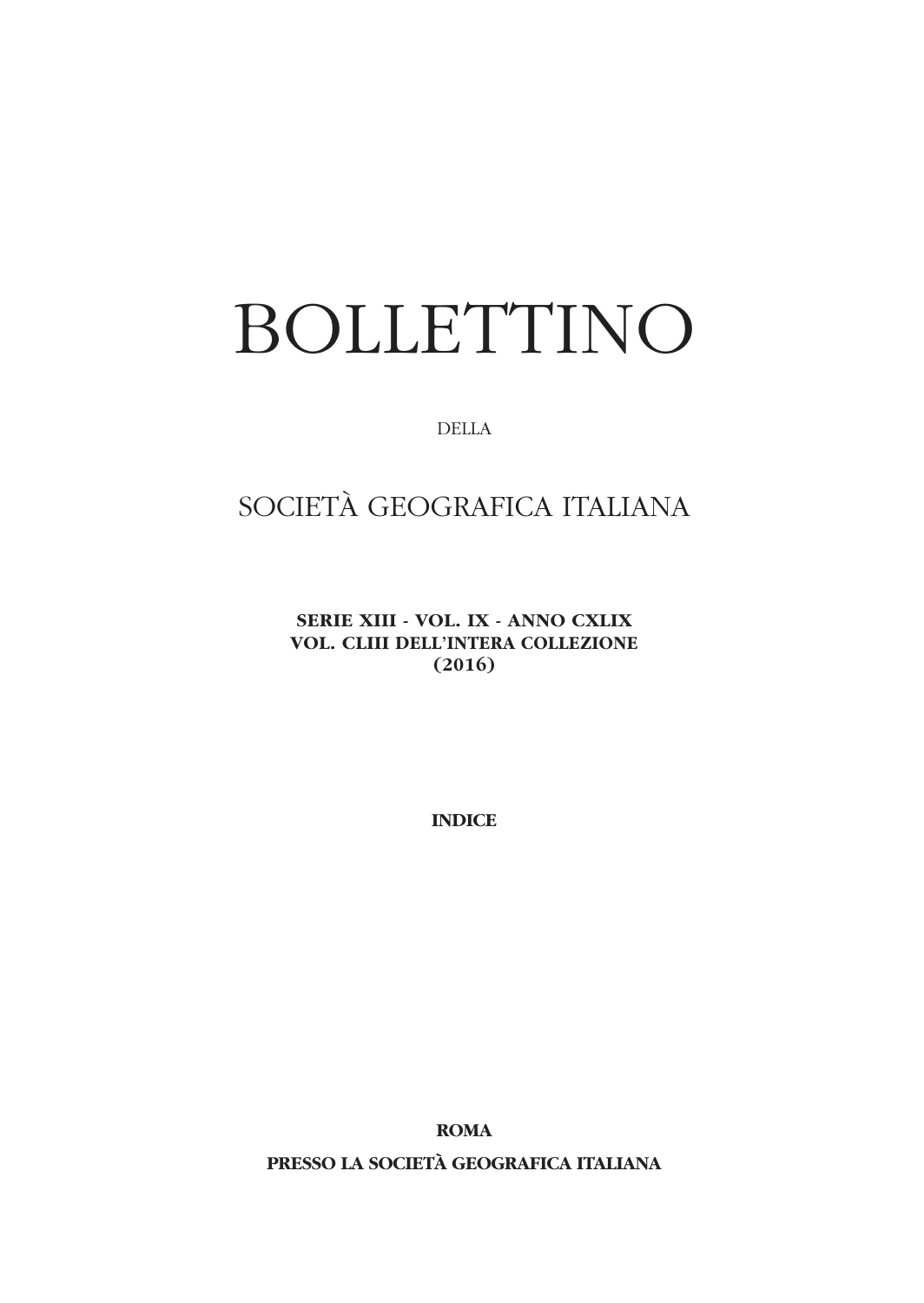# BOLLETTINO

DELLA

## SOCIETÀ GEOGRAFICA ITALIANA

**SERIE XIII - VOL. IX - ANNO CXLIX VOL. CLIII DELL'INTERA COLLEZIONE (2016)**

**INDICE**

**ROMA**

**PRESSO LA SOCIETÀ GEOGRAFICA ITALIANA**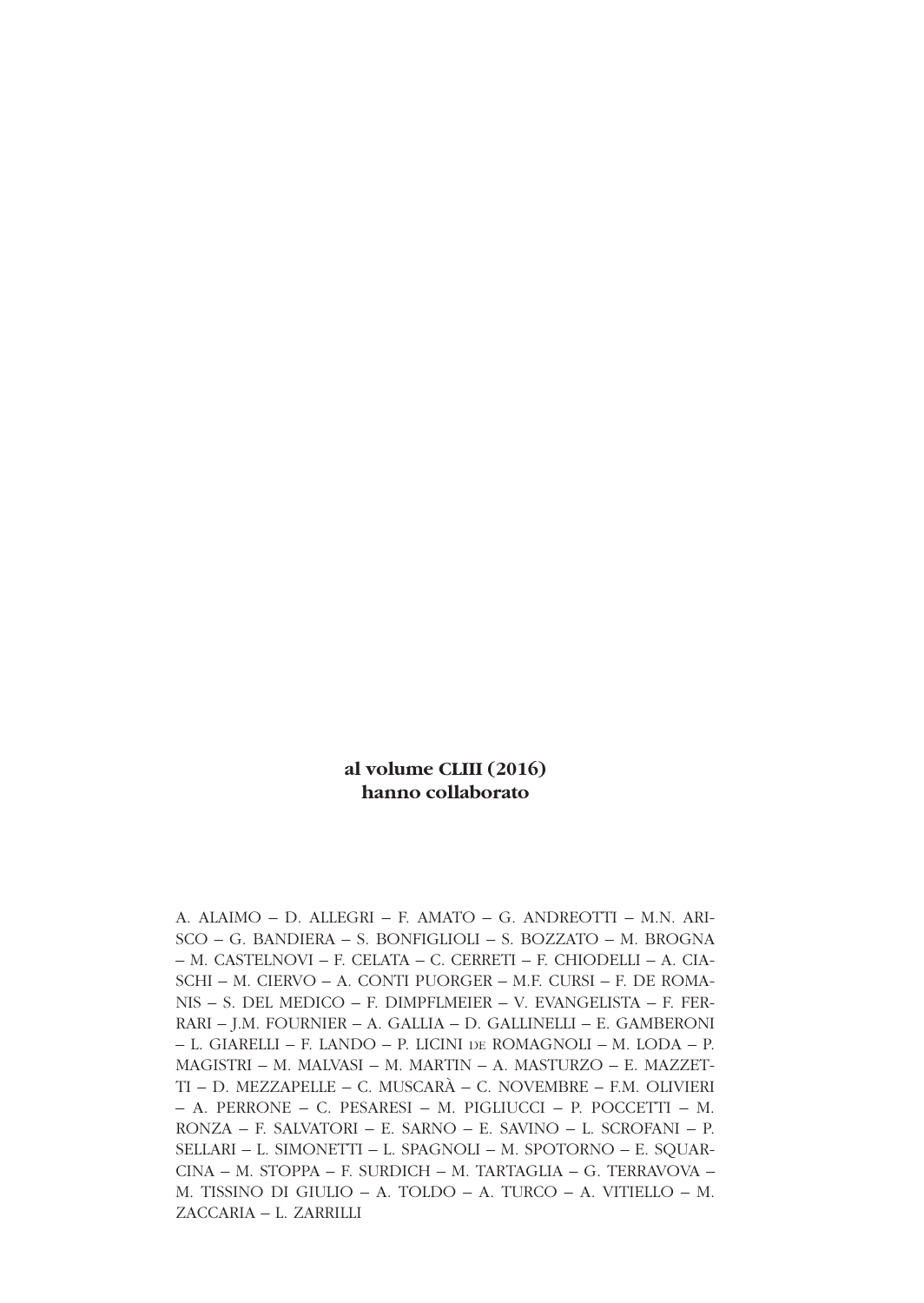#### **al volume CLIII (2016) hanno collaborato**

A. ALAIMO – D. ALLEGRI – F. AMATO – G. ANDREOTTI – M.N. ARI-SCO – G. BANDIERA – S. BONFIGLIOLI – S. BOZZATO – M. BROGNA – M. CASTELNOVI – F. CELATA – C. CERRETI – F. CHIODELLI – A. CIA-SCHI – M. CIERVO – A. CONTI PUORGER – M.F. CURSI – F. DE ROMA-NIS – S. DEL MEDICO – F. DIMPFLMEIER – V. EVANGELISTA – F. FER-RARI – J.M. FOURNIER – A. GALLIA – D. GALLINELLI – E. GAMBERONI – L. GIARELLI – F. LANDO – P. LICINI DE ROMAGNOLI – M. LODA – P. MAGISTRI – M. MALVASI – M. MARTIN – A. MASTURZO – E. MAZZET-TI – D. MEZZAPELLE – C. MUSCARÀ – C. NOVEMBRE – F.M. OLIVIERI – A. PERRONE – C. PESARESI – M. PIGLIUCCI – P. POCCETTI – M. RONZA – F. SALVATORI – E. SARNO – E. SAVINO – L. SCROFANI – P. SELLARI – L. SIMONETTI – L. SPAGNOLI – M. SPOTORNO – E. SQUAR-CINA – M. STOPPA – F. SURDICH – M. TARTAGLIA – G. TERRAVOVA – M. TISSINO DI GIULIO – A. TOLDO – A. TURCO – A. VITIELLO – M. ZACCARIA – L. ZARRILLI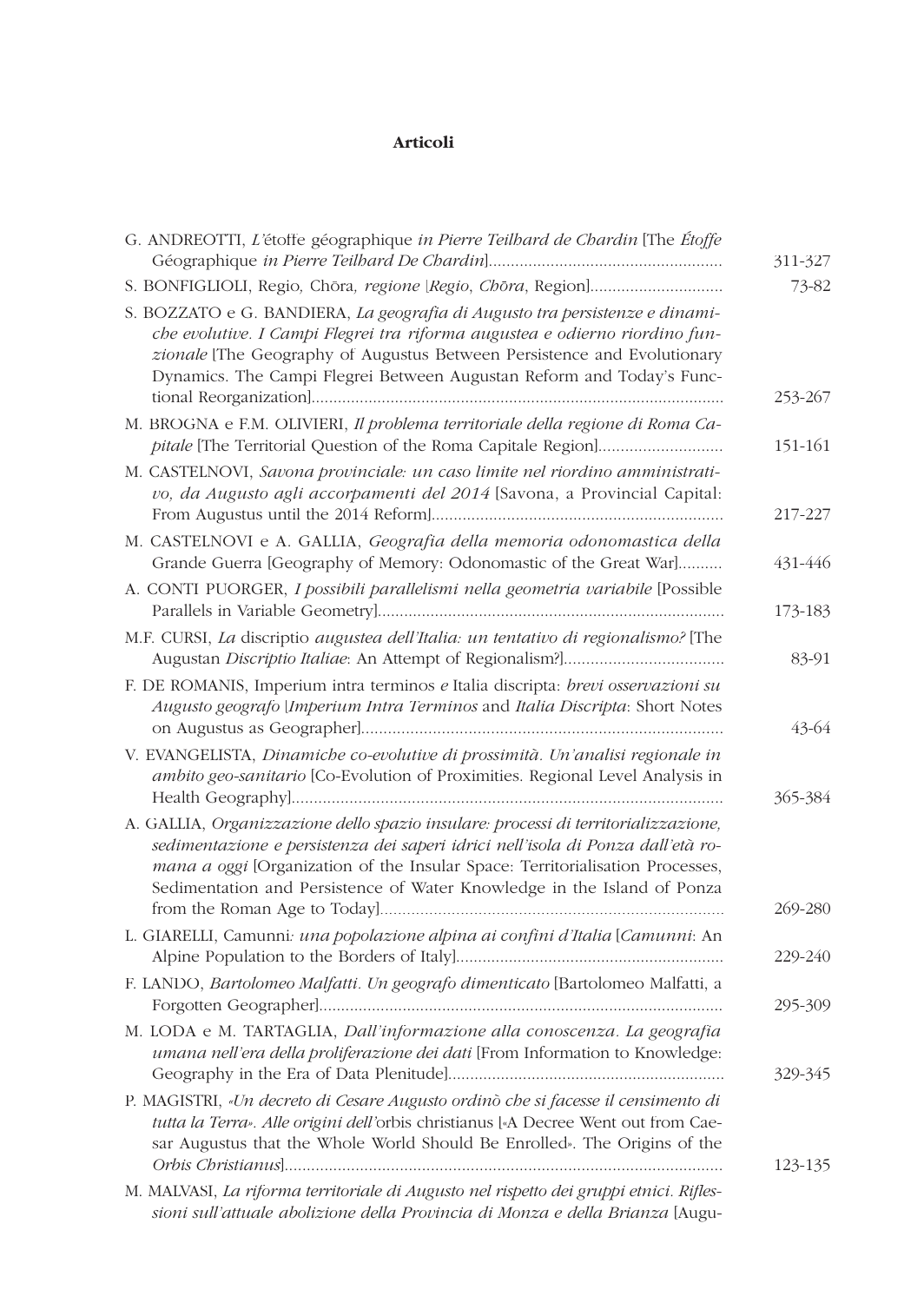#### **Articoli**

| G. ANDREOTTI, L'étoffe géographique in Pierre Teilbard de Chardin [The Étoffe                                                                                                                                                                                                                                                     | 311-327 |
|-----------------------------------------------------------------------------------------------------------------------------------------------------------------------------------------------------------------------------------------------------------------------------------------------------------------------------------|---------|
|                                                                                                                                                                                                                                                                                                                                   | 73-82   |
| S. BOZZATO e G. BANDIERA, La geografia di Augusto tra persistenze e dinami-<br>che evolutive. I Campi Flegrei tra riforma augustea e odierno riordino fun-<br>zionale [The Geography of Augustus Between Persistence and Evolutionary<br>Dynamics. The Campi Flegrei Between Augustan Reform and Today's Func-                    | 253-267 |
| M. BROGNA e F.M. OLIVIERI, Il problema territoriale della regione di Roma Ca-<br>pitale [The Territorial Question of the Roma Capitale Region]                                                                                                                                                                                    | 151-161 |
| M. CASTELNOVI, Savona provinciale: un caso limite nel riordino amministrati-<br>vo, da Augusto agli accorpamenti del 2014 [Savona, a Provincial Capital:                                                                                                                                                                          | 217-227 |
| M. CASTELNOVI e A. GALLIA, Geografia della memoria odonomastica della<br>Grande Guerra [Geography of Memory: Odonomastic of the Great War]                                                                                                                                                                                        | 431-446 |
| A. CONTI PUORGER, I possibili parallelismi nella geometria variabile [Possible                                                                                                                                                                                                                                                    | 173-183 |
| M.F. CURSI, La discriptio augustea dell'Italia: un tentativo di regionalismo? [The                                                                                                                                                                                                                                                | 83-91   |
| F. DE ROMANIS, Imperium intra terminos e Italia discripta: brevi osservazioni su<br>Augusto geografo [Imperium Intra Terminos and Italia Discripta: Short Notes                                                                                                                                                                   | 43-64   |
| V. EVANGELISTA, Dinamiche co-evolutive di prossimità. Un'analisi regionale in<br>ambito geo-sanitario [Co-Evolution of Proximities. Regional Level Analysis in                                                                                                                                                                    | 365-384 |
| A. GALLIA, Organizzazione dello spazio insulare: processi di territorializzazione,<br>sedimentazione e persistenza dei saperi idrici nell'isola di Ponza dall'età ro-<br>mana a oggi [Organization of the Insular Space: Territorialisation Processes,<br>Sedimentation and Persistence of Water Knowledge in the Island of Ponza | 269-280 |
| L. GIARELLI, Camunni: una popolazione alpina ai confini d'Italia [Camunni: An                                                                                                                                                                                                                                                     | 229-240 |
| F. LANDO, Bartolomeo Malfatti. Un geografo dimenticato [Bartolomeo Malfatti, a                                                                                                                                                                                                                                                    | 295-309 |
| M. LODA e M. TARTAGLIA, Dall'informazione alla conoscenza. La geografia<br>umana nell'era della proliferazione dei dati [From Information to Knowledge:                                                                                                                                                                           | 329-345 |
| P. MAGISTRI, «Un decreto di Cesare Augusto ordinò che si facesse il censimento di<br>tutta la Terra». Alle origini dell'orbis christianus [«A Decree Went out from Cae-<br>sar Augustus that the Whole World Should Be Enrolled». The Origins of the                                                                              | 123-135 |
| M. MALVASI, La riforma territoriale di Augusto nel rispetto dei gruppi etnici. Rifles-<br>sioni sull'attuale abolizione della Provincia di Monza e della Brianza [Augu-                                                                                                                                                           |         |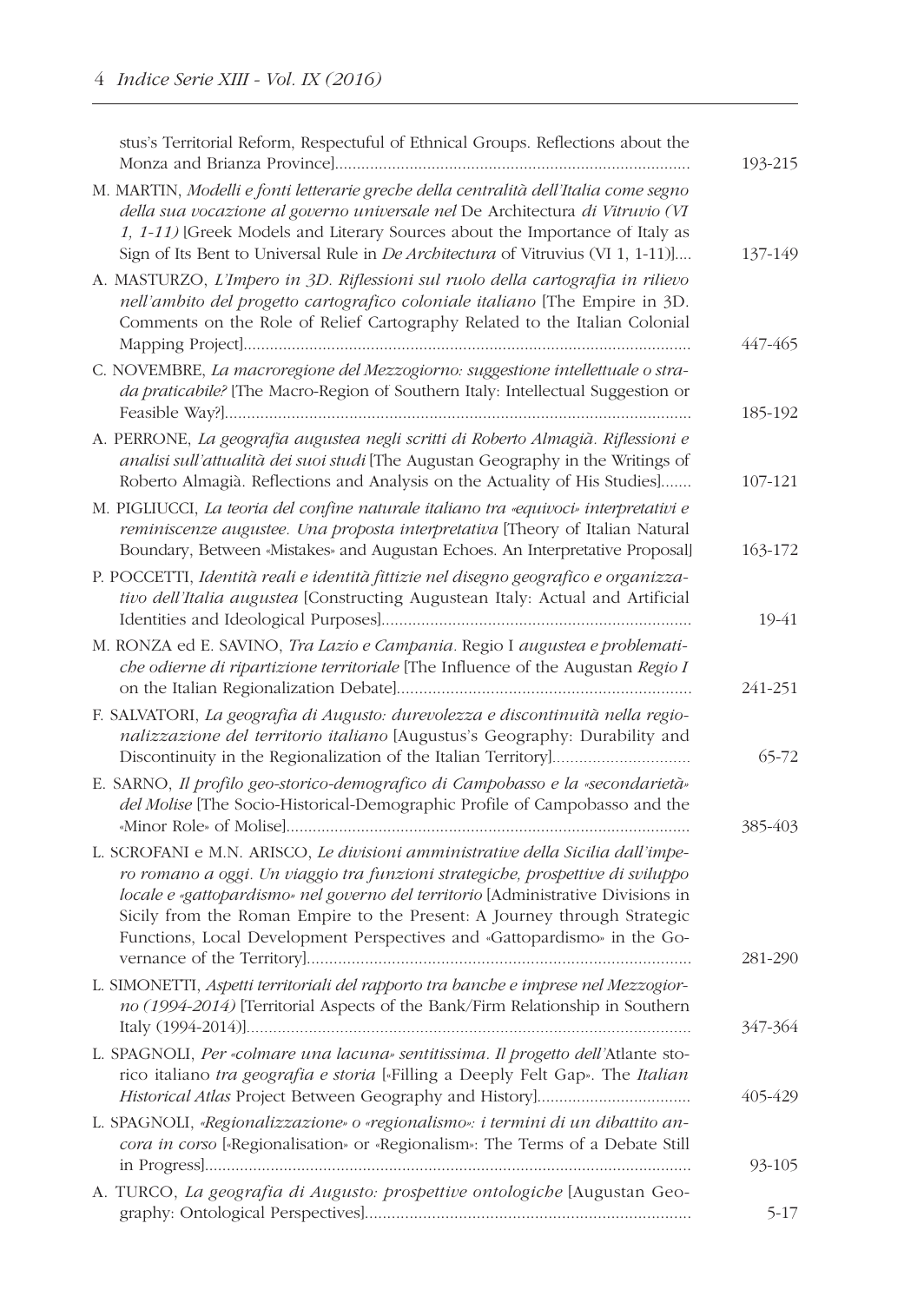| stus's Territorial Reform, Respectuful of Ethnical Groups. Reflections about the                                                                                                                                                                                                                                                                                                                              | 193-215 |
|---------------------------------------------------------------------------------------------------------------------------------------------------------------------------------------------------------------------------------------------------------------------------------------------------------------------------------------------------------------------------------------------------------------|---------|
| M. MARTIN, Modelli e fonti letterarie greche della centralità dell'Italia come segno<br>della sua vocazione al governo universale nel De Architectura di Vitruvio (VI<br>1, 1-11) [Greek Models and Literary Sources about the Importance of Italy as<br>Sign of Its Bent to Universal Rule in <i>De Architectura</i> of Vitruvius (VI 1, 1-11)]                                                              | 137-149 |
| A. MASTURZO, L'Impero in 3D. Riflessioni sul ruolo della cartografia in rilievo<br>nell'ambito del progetto cartografico coloniale italiano [The Empire in 3D.<br>Comments on the Role of Relief Cartography Related to the Italian Colonial                                                                                                                                                                  | 447-465 |
| C. NOVEMBRE, La macroregione del Mezzogiorno: suggestione intellettuale o stra-<br>da praticabile? [The Macro-Region of Southern Italy: Intellectual Suggestion or                                                                                                                                                                                                                                            | 185-192 |
| A. PERRONE, La geografia augustea negli scritti di Roberto Almagià. Riflessioni e<br>analisi sull'attualità dei suoi studi [The Augustan Geography in the Writings of<br>Roberto Almagià. Reflections and Analysis on the Actuality of His Studies]                                                                                                                                                           | 107-121 |
| M. PIGLIUCCI, La teoria del confine naturale italiano tra «equivoci» interpretativi e<br>reminiscenze augustee. Una proposta interpretativa [Theory of Italian Natural<br>Boundary, Between «Mistakes» and Augustan Echoes. An Interpretative Proposal]                                                                                                                                                       | 163-172 |
| P. POCCETTI, Identità reali e identità fittizie nel disegno geografico e organizza-<br>tivo dell'Italia augustea [Constructing Augustean Italy: Actual and Artificial                                                                                                                                                                                                                                         | 19-41   |
| M. RONZA ed E. SAVINO, Tra Lazio e Campania. Regio I augustea e problemati-<br>che odierne di ripartizione territoriale [The Influence of the Augustan Regio I                                                                                                                                                                                                                                                | 241-251 |
| F. SALVATORI, La geografia di Augusto: durevolezza e discontinuità nella regio-<br>nalizzazione del territorio italiano [Augustus's Geography: Durability and                                                                                                                                                                                                                                                 | 65-72   |
| E. SARNO, Il profilo geo-storico-demografico di Campobasso e la «secondarietà»<br>del Molise [The Socio-Historical-Demographic Profile of Campobasso and the                                                                                                                                                                                                                                                  | 385-403 |
| L. SCROFANI e M.N. ARISCO, Le divisioni amministrative della Sicilia dall'impe-<br>ro romano a oggi. Un viaggio tra funzioni strategiche, prospettive di sviluppo<br>locale e «gattopardismo» nel governo del territorio [Administrative Divisions in<br>Sicily from the Roman Empire to the Present: A Journey through Strategic<br>Functions, Local Development Perspectives and «Gattopardismo» in the Go- | 281-290 |
| L. SIMONETTI, Aspetti territoriali del rapporto tra banche e imprese nel Mezzogior-<br>no (1994-2014) [Territorial Aspects of the Bank/Firm Relationship in Southern                                                                                                                                                                                                                                          | 347-364 |
| L. SPAGNOLI, Per «colmare una lacuna» sentitissima. Il progetto dell'Atlante sto-<br>rico italiano tra geografia e storia [«Filling a Deeply Felt Gap». The Italian                                                                                                                                                                                                                                           | 405-429 |
| L. SPAGNOLI, «Regionalizzazione» o «regionalismo»: i termini di un dibattito an-<br>cora in corso [«Regionalisation» or «Regionalism»: The Terms of a Debate Still                                                                                                                                                                                                                                            | 93-105  |
| A. TURCO, La geografia di Augusto: prospettive ontologiche [Augustan Geo-                                                                                                                                                                                                                                                                                                                                     | 5-17    |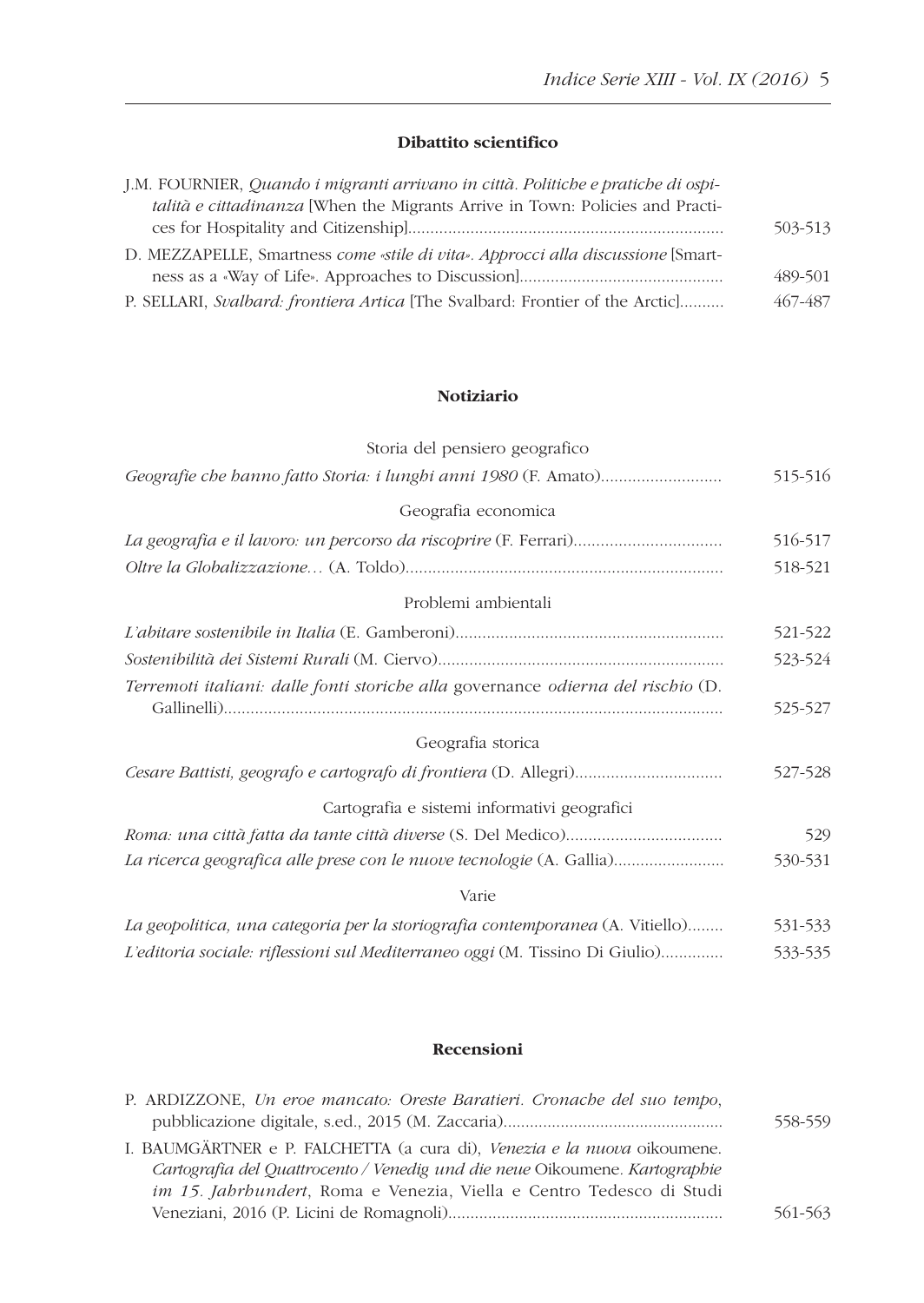### **Dibattito scientifico**

| J.M. FOURNIER, Quando i migranti arrivano in città. Politiche e pratiche di ospi- |         |
|-----------------------------------------------------------------------------------|---------|
| talità e cittadinanza [When the Migrants Arrive in Town: Policies and Practi-     |         |
|                                                                                   | 503-513 |
| D. MEZZAPELLE, Smartness come «stile di vita». Approcci alla discussione [Smart-  |         |
|                                                                                   | 489-501 |
| P. SELLARI, Svalbard: frontiera Artica [The Svalbard: Frontier of the Arctic]     | 467-487 |

### **Notiziario**

| Storia del pensiero geografico                                                   |         |
|----------------------------------------------------------------------------------|---------|
|                                                                                  | 515-516 |
| Geografia economica                                                              |         |
|                                                                                  | 516-517 |
|                                                                                  | 518-521 |
| Problemi ambientali                                                              |         |
|                                                                                  | 521-522 |
|                                                                                  | 523-524 |
| Terremoti italiani: dalle fonti storiche alla governance odierna del rischio (D. | 525-527 |
| Geografia storica                                                                |         |
| Cesare Battisti, geografo e cartografo di frontiera (D. Allegri)                 | 527-528 |
| Cartografia e sistemi informativi geografici                                     |         |
|                                                                                  | 529     |
| La ricerca geografica alle prese con le nuove tecnologie (A. Gallia)             | 530-531 |
| Varie                                                                            |         |
| La geopolitica, una categoria per la storiografia contemporanea (A. Vitiello)    | 531-533 |
| L'editoria sociale: riflessioni sul Mediterraneo oggi (M. Tissino Di Giulio)     | 533-535 |

#### **Recensioni**

| P. ARDIZZONE, Un eroe mancato: Oreste Baratieri. Cronache del suo tempo,     |         |
|------------------------------------------------------------------------------|---------|
|                                                                              | 558-559 |
| I. BAUMGÄRTNER e P. FALCHETTA (a cura di), Venezia e la nuova oikoumene.     |         |
| Cartografia del Quattrocento / Venedig und die neue Oikoumene. Kartographie  |         |
| <i>im 15. Jahrhundert</i> , Roma e Venezia, Viella e Centro Tedesco di Studi |         |
|                                                                              | 561-563 |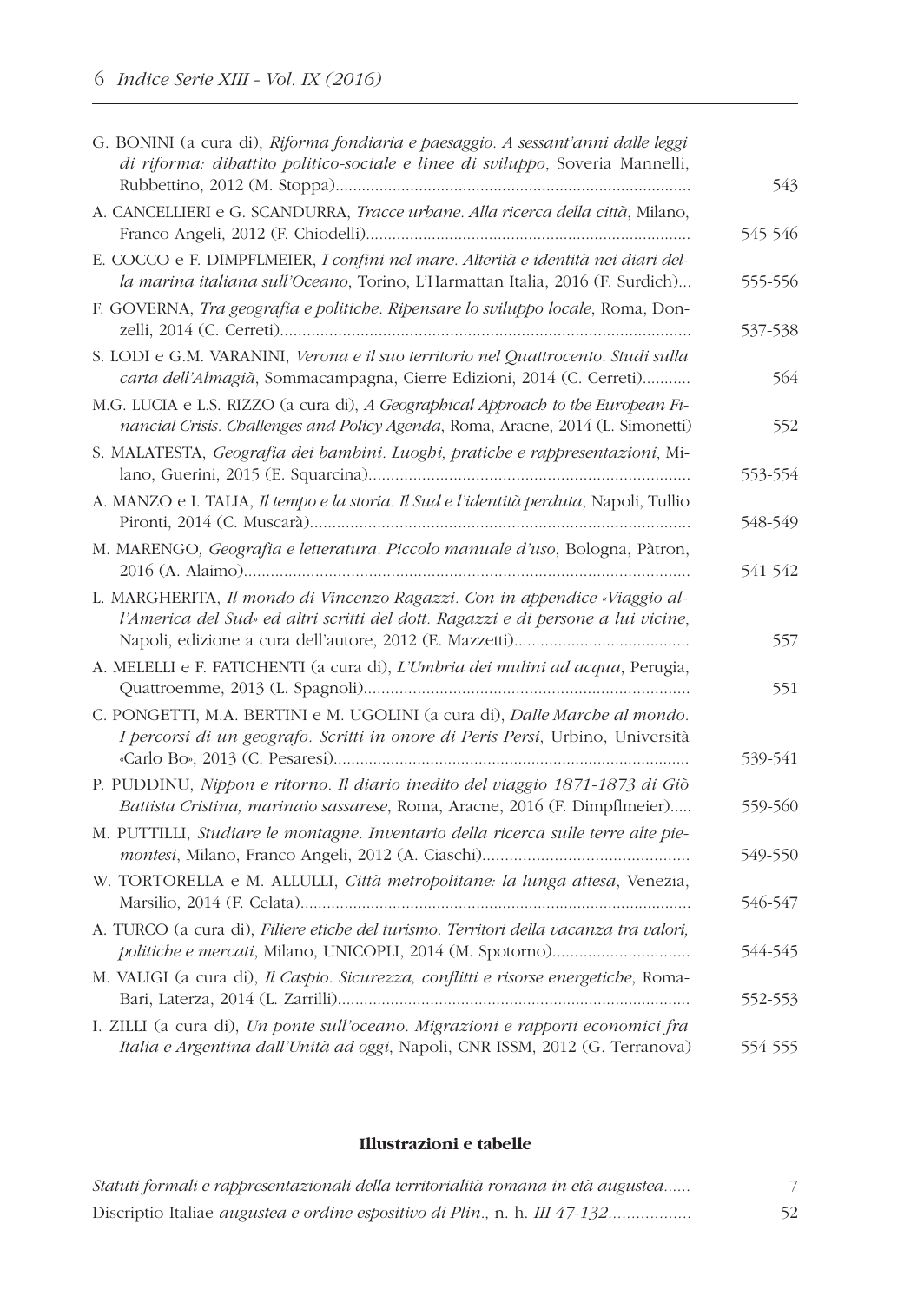| G. BONINI (a cura di), Riforma fondiaria e paesaggio. A sessant'anni dalle leggi<br>di riforma: dibattito politico-sociale e linee di sviluppo, Soveria Mannelli,   | 543     |
|---------------------------------------------------------------------------------------------------------------------------------------------------------------------|---------|
| A. CANCELLIERI e G. SCANDURRA, Tracce urbane. Alla ricerca della città, Milano,                                                                                     | 545-546 |
| E. COCCO e F. DIMPFLMEIER, I confini nel mare. Alterità e identità nei diari del-<br>la marina italiana sull'Oceano, Torino, L'Harmattan Italia, 2016 (F. Surdich)  | 555-556 |
| F. GOVERNA, Tra geografia e politiche. Ripensare lo sviluppo locale, Roma, Don-                                                                                     | 537-538 |
| S. LODI e G.M. VARANINI, Verona e il suo territorio nel Quattrocento. Studi sulla<br>carta dell'Almagià, Sommacampagna, Cierre Edizioni, 2014 (C. Cerreti)          | 564     |
| M.G. LUCIA e L.S. RIZZO (a cura di), A Geographical Approach to the European Fi-<br>nancial Crisis. Challenges and Policy Agenda, Roma, Aracne, 2014 (L. Simonetti) | 552     |
| S. MALATESTA, Geografia dei bambini. Luoghi, pratiche e rappresentazioni, Mi-                                                                                       | 553-554 |
| A. MANZO e I. TALIA, Il tempo e la storia. Il Sud e l'identità perduta, Napoli, Tullio                                                                              | 548-549 |
| M. MARENGO, Geografia e letteratura. Piccolo manuale d'uso, Bologna, Pàtron,                                                                                        | 541-542 |
| L. MARGHERITA, Il mondo di Vincenzo Ragazzi. Con in appendice «Viaggio al-<br>l'America del Sud» ed altri scritti del dott. Ragazzi e di persone a lui vicine,      | 557     |
| A. MELELLI e F. FATICHENTI (a cura di), L'Umbria dei mulini ad acqua, Perugia,                                                                                      | 551     |
| C. PONGETTI, M.A. BERTINI e M. UGOLINI (a cura di), Dalle Marche al mondo.<br>I percorsi di un geografo. Scritti in onore di Peris Persi, Urbino, Università        | 539-541 |
| P. PUDDINU, Nippon e ritorno. Il diario inedito del viaggio 1871-1873 di Giò<br>Battista Cristina, marinaio sassarese, Roma, Aracne, 2016 (F. Dimpflmeier)          | 559-560 |
| M. PUTTILLI, Studiare le montagne. Inventario della ricerca sulle terre alte pie-                                                                                   | 549-550 |
| W. TORTORELLA e M. ALLULLI, Città metropolitane: la lunga attesa, Venezia,                                                                                          | 546-547 |
| A. TURCO (a cura di), Filiere etiche del turismo. Territori della vacanza tra valori,                                                                               | 544-545 |
| M. VALIGI (a cura di), Il Caspio. Sicurezza, conflitti e risorse energetiche, Roma-                                                                                 | 552-553 |
| I. ZILLI (a cura di), Un ponte sull'oceano. Migrazioni e rapporti economici fra<br>Italia e Argentina dall'Unità ad oggi, Napoli, CNR-ISSM, 2012 (G. Terranova)     | 554-555 |

#### **Illustrazioni e tabelle**

| Statuti formali e rappresentazionali della territorialità romana in età augustea |    |
|----------------------------------------------------------------------------------|----|
|                                                                                  | 52 |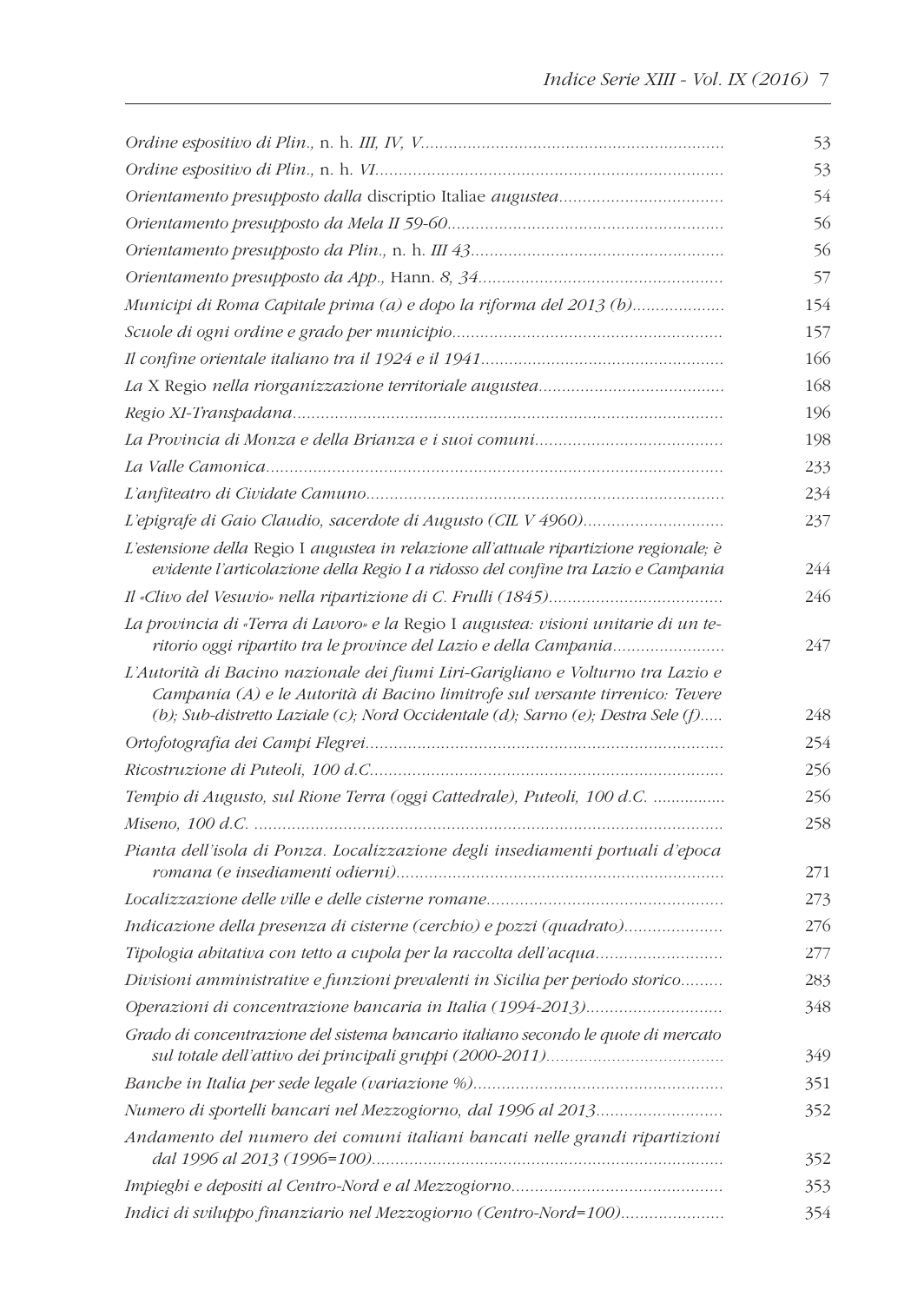|                                                                                                                                                                                                                                                      | 53  |
|------------------------------------------------------------------------------------------------------------------------------------------------------------------------------------------------------------------------------------------------------|-----|
|                                                                                                                                                                                                                                                      | 53  |
|                                                                                                                                                                                                                                                      | 54  |
|                                                                                                                                                                                                                                                      | 56  |
|                                                                                                                                                                                                                                                      | 56  |
|                                                                                                                                                                                                                                                      | 57  |
| Municipi di Roma Capitale prima (a) e dopo la riforma del 2013 (b)                                                                                                                                                                                   | 154 |
|                                                                                                                                                                                                                                                      | 157 |
|                                                                                                                                                                                                                                                      | 166 |
|                                                                                                                                                                                                                                                      | 168 |
|                                                                                                                                                                                                                                                      | 196 |
|                                                                                                                                                                                                                                                      | 198 |
|                                                                                                                                                                                                                                                      | 233 |
|                                                                                                                                                                                                                                                      | 234 |
|                                                                                                                                                                                                                                                      | 237 |
| L'estensione della Regio I augustea in relazione all'attuale ripartizione regionale; è<br>evidente l'articolazione della Regio I a ridosso del confine tra Lazio e Campania                                                                          | 244 |
|                                                                                                                                                                                                                                                      | 246 |
| La provincia di «Terra di Lavoro» e la Regio I augustea: visioni unitarie di un te-<br>ritorio oggi ripartito tra le province del Lazio e della Campania                                                                                             | 247 |
| L'Autorità di Bacino nazionale dei fiumi Liri-Garigliano e Volturno tra Lazio e<br>Campania (A) e le Autorità di Bacino limitrofe sul versante tirrenico: Tevere<br>(b); Sub-distretto Laziale (c); Nord Occidentale (d); Sarno (e); Destra Sele (f) | 248 |
|                                                                                                                                                                                                                                                      | 254 |
|                                                                                                                                                                                                                                                      | 256 |
| Tempio di Augusto, sul Rione Terra (oggi Cattedrale), Puteoli, 100 d.C.                                                                                                                                                                              | 256 |
|                                                                                                                                                                                                                                                      | 258 |
| Pianta dell'isola di Ponza. Localizzazione degli insediamenti portuali d'epoca                                                                                                                                                                       | 271 |
|                                                                                                                                                                                                                                                      | 273 |
| Indicazione della presenza di cisterne (cerchio) e pozzi (quadrato)                                                                                                                                                                                  | 276 |
| Tipologia abitativa con tetto a cupola per la raccolta dell'acqua                                                                                                                                                                                    | 277 |
| Divisioni amministrative e funzioni prevalenti in Sicilia per periodo storico                                                                                                                                                                        | 283 |
|                                                                                                                                                                                                                                                      | 348 |
| Grado di concentrazione del sistema bancario italiano secondo le quote di mercato                                                                                                                                                                    | 349 |
|                                                                                                                                                                                                                                                      | 351 |
| Numero di sportelli bancari nel Mezzogiorno, dal 1996 al 2013                                                                                                                                                                                        | 352 |
| Andamento del numero dei comuni italiani bancati nelle grandi ripartizioni                                                                                                                                                                           | 352 |
|                                                                                                                                                                                                                                                      | 353 |
| Indici di sviluppo finanziario nel Mezzogiorno (Centro-Nord=100)                                                                                                                                                                                     | 354 |
|                                                                                                                                                                                                                                                      |     |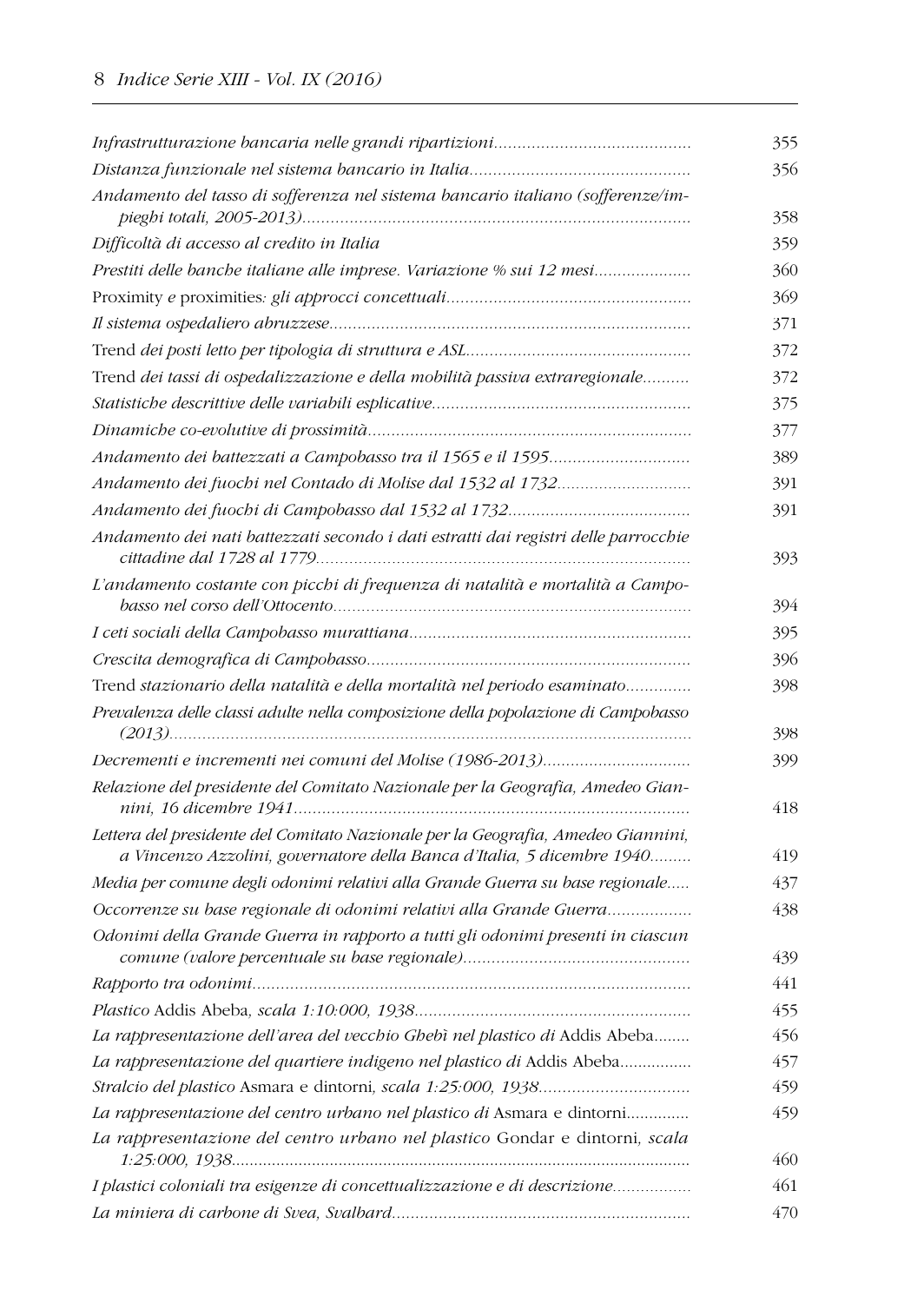|                                                                                                                                                            | 355  |
|------------------------------------------------------------------------------------------------------------------------------------------------------------|------|
|                                                                                                                                                            | 356  |
| Andamento del tasso di sofferenza nel sistema bancario italiano (sofferenze/im-                                                                            | 358  |
| Difficoltà di accesso al credito in Italia                                                                                                                 | 359. |
| Prestiti delle banche italiane alle imprese. Variazione % sui 12 mesi                                                                                      | 360  |
|                                                                                                                                                            | 369  |
|                                                                                                                                                            | 371  |
|                                                                                                                                                            | 372  |
| Trend dei tassi di ospedalizzazione e della mobilità passiva extraregionale                                                                                | 372  |
|                                                                                                                                                            | 375  |
|                                                                                                                                                            | 377  |
|                                                                                                                                                            | 389  |
| Andamento dei fuochi nel Contado di Molise dal 1532 al 1732                                                                                                | 391  |
|                                                                                                                                                            | 391  |
| Andamento dei nati battezzati secondo i dati estratti dai registri delle parrocchie                                                                        | 393  |
| L'andamento costante con picchi di frequenza di natalità e mortalità a Campo-                                                                              | 394  |
|                                                                                                                                                            | 395  |
|                                                                                                                                                            | 396  |
| Trend stazionario della natalità e della mortalità nel periodo esaminato                                                                                   | 398  |
| Prevalenza delle classi adulte nella composizione della popolazione di Campobasso                                                                          | 398  |
|                                                                                                                                                            | 399  |
| Relazione del presidente del Comitato Nazionale per la Geografia, Amedeo Gian-                                                                             | 418  |
| Lettera del presidente del Comitato Nazionale per la Geografia, Amedeo Giannini,<br>a Vincenzo Azzolini, governatore della Banca d'Italia, 5 dicembre 1940 | 419  |
| Media per comune degli odonimi relativi alla Grande Guerra su base regionale                                                                               | 437  |
| Occorrenze su base regionale di odonimi relativi alla Grande Guerra                                                                                        | 438  |
| Odonimi della Grande Guerra in rapporto a tutti gli odonimi presenti in ciascun                                                                            | 439  |
|                                                                                                                                                            | 441  |
|                                                                                                                                                            | 455  |
| La rappresentazione dell'area del vecchio Ghebì nel plastico di Addis Abeba                                                                                | 456  |
| La rappresentazione del quartiere indigeno nel plastico di Addis Abeba                                                                                     | 457  |
|                                                                                                                                                            | 459  |
| La rappresentazione del centro urbano nel plastico di Asmara e dintorni                                                                                    | 459  |
| La rappresentazione del centro urbano nel plastico Gondar e dintorni, scala                                                                                | 460  |
| I plastici coloniali tra esigenze di concettualizzazione e di descrizione                                                                                  | 461  |
|                                                                                                                                                            | 470  |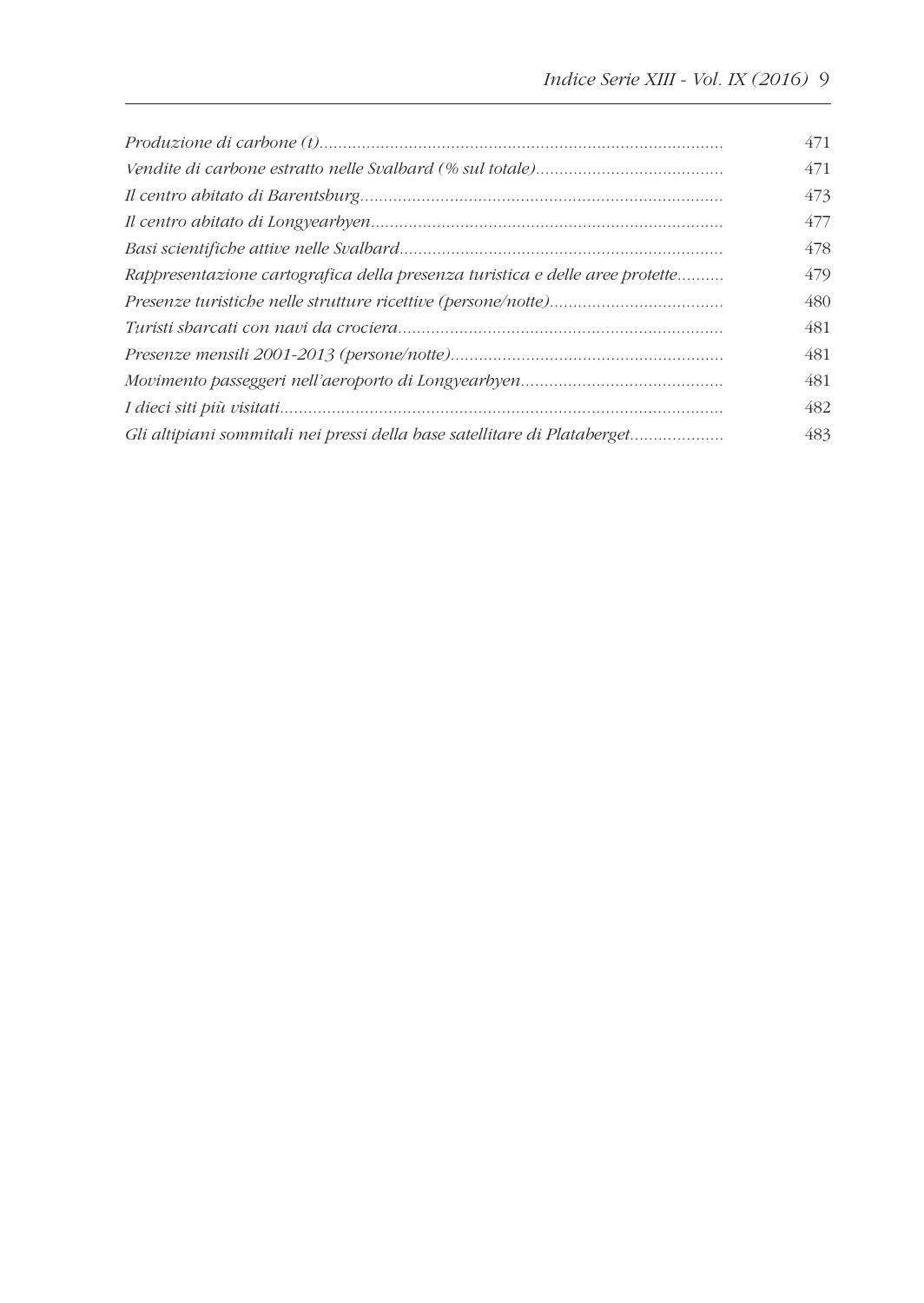|                                                                              | 471 |
|------------------------------------------------------------------------------|-----|
|                                                                              | 471 |
|                                                                              | 473 |
|                                                                              | 477 |
|                                                                              | 478 |
| Rappresentazione cartografica della presenza turistica e delle aree protette | 479 |
|                                                                              | 480 |
|                                                                              | 481 |
|                                                                              | 481 |
|                                                                              | 481 |
|                                                                              | 482 |
| Gli altipiani sommitali nei pressi della base satellitare di Plataberget     | 483 |